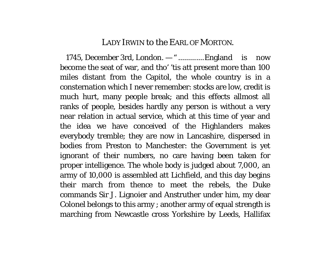## LADY IRWIN to the EARL OF MORTON.

1745, December 3rd, London. — " .............England is now become the seat of war, and tho' 'tis att present more than 100 miles distant from the Capitol, the whole country is in a consternation which I never remember: stocks are low, credit is much hurt, many people break; and this effects allmost all ranks of people, besides hardly any person is without a very near relation in actual service, which at this time of year and the idea we have conceived of the Highlanders makes everybody tremble; they are now in Lancashire, dispersed in bodies from Preston to Manchester: the Government is yet ignorant of their numbers, no care having been taken for proper intelligence. The whole body is judged about 7,000, an army of 10,000 is assembled att Lichfield, and this day begins their march from thence to meet the rebels, the Duke commands Sir J. Lignoier and Anstruther under him, my dear Colonel belongs to this army ; another army of equal strength is marching from Newcastle cross Yorkshire by Leeds, Hallifax